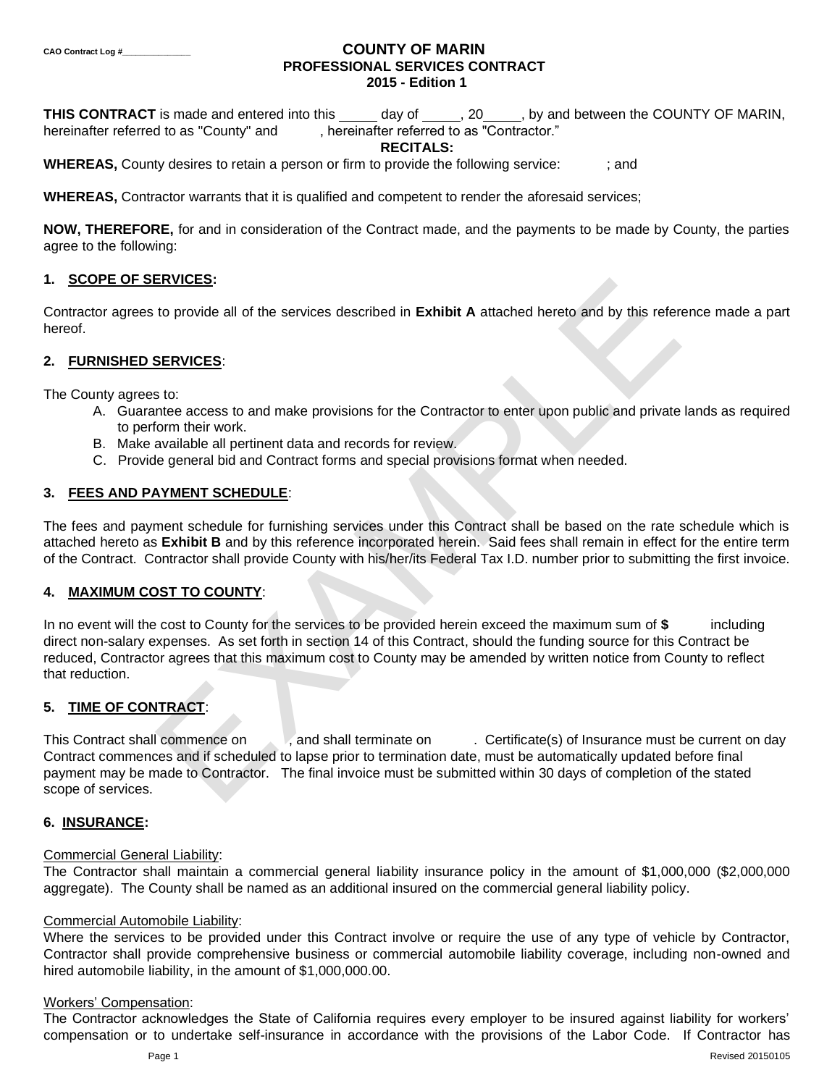# **CAO Contract Log #\_\_\_\_\_\_\_\_\_\_\_\_\_\_\_ COUNTY OF MARIN PROFESSIONAL SERVICES CONTRACT 2015 - Edition 1**

**THIS CONTRACT** is made and entered into this day of , 20 , by and between the COUNTY OF MARIN, hereinafter referred to as "County" and , hereinafter referred to as "Contractor."

#### **RECITALS:**

**WHEREAS,** County desires to retain a person or firm to provide the following service:  $\cdot$ ; and

**WHEREAS,** Contractor warrants that it is qualified and competent to render the aforesaid services;

**NOW, THEREFORE,** for and in consideration of the Contract made, and the payments to be made by County, the parties agree to the following:

# **1. SCOPE OF SERVICES:**

Contractor agrees to provide all of the services described in **Exhibit A** attached hereto and by this reference made a part hereof.

# **2. FURNISHED SERVICES**:

The County agrees to:

- A. Guarantee access to and make provisions for the Contractor to enter upon public and private lands as required to perform their work.
- B. Make available all pertinent data and records for review.
- C. Provide general bid and Contract forms and special provisions format when needed.

# **3. FEES AND PAYMENT SCHEDULE**:

The fees and payment schedule for furnishing services under this Contract shall be based on the rate schedule which is attached hereto as **Exhibit B** and by this reference incorporated herein. Said fees shall remain in effect for the entire term of the Contract. Contractor shall provide County with his/her/its Federal Tax I.D. number prior to submitting the first invoice.

#### **4. MAXIMUM COST TO COUNTY**:

EXVICES:<br>
to provide all of the services described in Exhibit A attached hereto and by this refer<br>
services:<br>
to:<br>
services:<br>
services:<br>
the access to and make provisions for the Contractor to enter upon public and private In no event will the cost to County for the services to be provided herein exceed the maximum sum of **\$** including direct non-salary expenses. As set forth in section 14 of this Contract, should the funding source for this Contract be reduced, Contractor agrees that this maximum cost to County may be amended by written notice from County to reflect that reduction.

# **5. TIME OF CONTRACT**:

This Contract shall commence on , and shall terminate on . Certificate(s) of Insurance must be current on day Contract commences and if scheduled to lapse prior to termination date, must be automatically updated before final payment may be made to Contractor. The final invoice must be submitted within 30 days of completion of the stated scope of services.

# **6. INSURANCE:**

# Commercial General Liability:

The Contractor shall maintain a commercial general liability insurance policy in the amount of \$1,000,000 (\$2,000,000 aggregate). The County shall be named as an additional insured on the commercial general liability policy.

#### Commercial Automobile Liability:

Where the services to be provided under this Contract involve or require the use of any type of vehicle by Contractor, Contractor shall provide comprehensive business or commercial automobile liability coverage, including non-owned and hired automobile liability, in the amount of \$1,000,000.00.

#### Workers' Compensation:

The Contractor acknowledges the State of California requires every employer to be insured against liability for workers' compensation or to undertake self-insurance in accordance with the provisions of the Labor Code. If Contractor has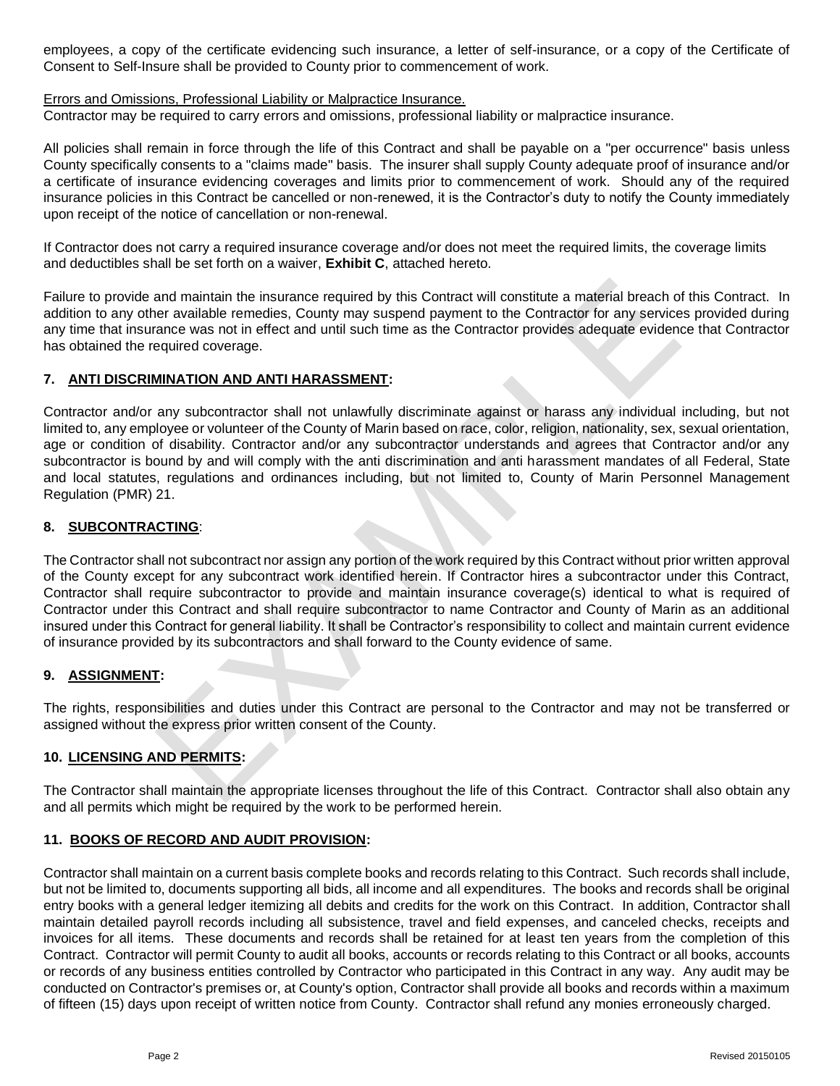employees, a copy of the certificate evidencing such insurance, a letter of self-insurance, or a copy of the Certificate of Consent to Self-Insure shall be provided to County prior to commencement of work.

# Errors and Omissions, Professional Liability or Malpractice Insurance.

Contractor may be required to carry errors and omissions, professional liability or malpractice insurance.

All policies shall remain in force through the life of this Contract and shall be payable on a "per occurrence" basis unless County specifically consents to a "claims made" basis. The insurer shall supply County adequate proof of insurance and/or a certificate of insurance evidencing coverages and limits prior to commencement of work. Should any of the required insurance policies in this Contract be cancelled or non-renewed, it is the Contractor's duty to notify the County immediately upon receipt of the notice of cancellation or non-renewal.

If Contractor does not carry a required insurance coverage and/or does not meet the required limits, the coverage limits and deductibles shall be set forth on a waiver, **Exhibit C**, attached hereto.

Failure to provide and maintain the insurance required by this Contract will constitute a material breach of this Contract. In addition to any other available remedies, County may suspend payment to the Contractor for any services provided during any time that insurance was not in effect and until such time as the Contractor provides adequate evidence that Contractor has obtained the required coverage.

# **7. ANTI DISCRIMINATION AND ANTI HARASSMENT:**

Contractor and/or any subcontractor shall not unlawfully discriminate against or harass any individual including, but not limited to, any employee or volunteer of the County of Marin based on race, color, religion, nationality, sex, sexual orientation, age or condition of disability. Contractor and/or any subcontractor understands and agrees that Contractor and/or any subcontractor is bound by and will comply with the anti discrimination and anti harassment mandates of all Federal, State and local statutes, regulations and ordinances including, but not limited to, County of Marin Personnel Management Regulation (PMR) 21.

# **8. SUBCONTRACTING**:

and maintain the insurance required by this Contract will constitute a material breach of<br>er available remedies, County may suspend payment to the Contractor for any service<br>ance was not in effect and until such time as th The Contractor shall not subcontract nor assign any portion of the work required by this Contract without prior written approval of the County except for any subcontract work identified herein. If Contractor hires a subcontractor under this Contract, Contractor shall require subcontractor to provide and maintain insurance coverage(s) identical to what is required of Contractor under this Contract and shall require subcontractor to name Contractor and County of Marin as an additional insured under this Contract for general liability. It shall be Contractor's responsibility to collect and maintain current evidence of insurance provided by its subcontractors and shall forward to the County evidence of same.

# **9. ASSIGNMENT:**

The rights, responsibilities and duties under this Contract are personal to the Contractor and may not be transferred or assigned without the express prior written consent of the County.

# **10. LICENSING AND PERMITS:**

The Contractor shall maintain the appropriate licenses throughout the life of this Contract. Contractor shall also obtain any and all permits which might be required by the work to be performed herein.

# **11. BOOKS OF RECORD AND AUDIT PROVISION:**

Contractor shall maintain on a current basis complete books and records relating to this Contract. Such records shall include, but not be limited to, documents supporting all bids, all income and all expenditures. The books and records shall be original entry books with a general ledger itemizing all debits and credits for the work on this Contract. In addition, Contractor shall maintain detailed payroll records including all subsistence, travel and field expenses, and canceled checks, receipts and invoices for all items. These documents and records shall be retained for at least ten years from the completion of this Contract. Contractor will permit County to audit all books, accounts or records relating to this Contract or all books, accounts or records of any business entities controlled by Contractor who participated in this Contract in any way. Any audit may be conducted on Contractor's premises or, at County's option, Contractor shall provide all books and records within a maximum of fifteen (15) days upon receipt of written notice from County. Contractor shall refund any monies erroneously charged.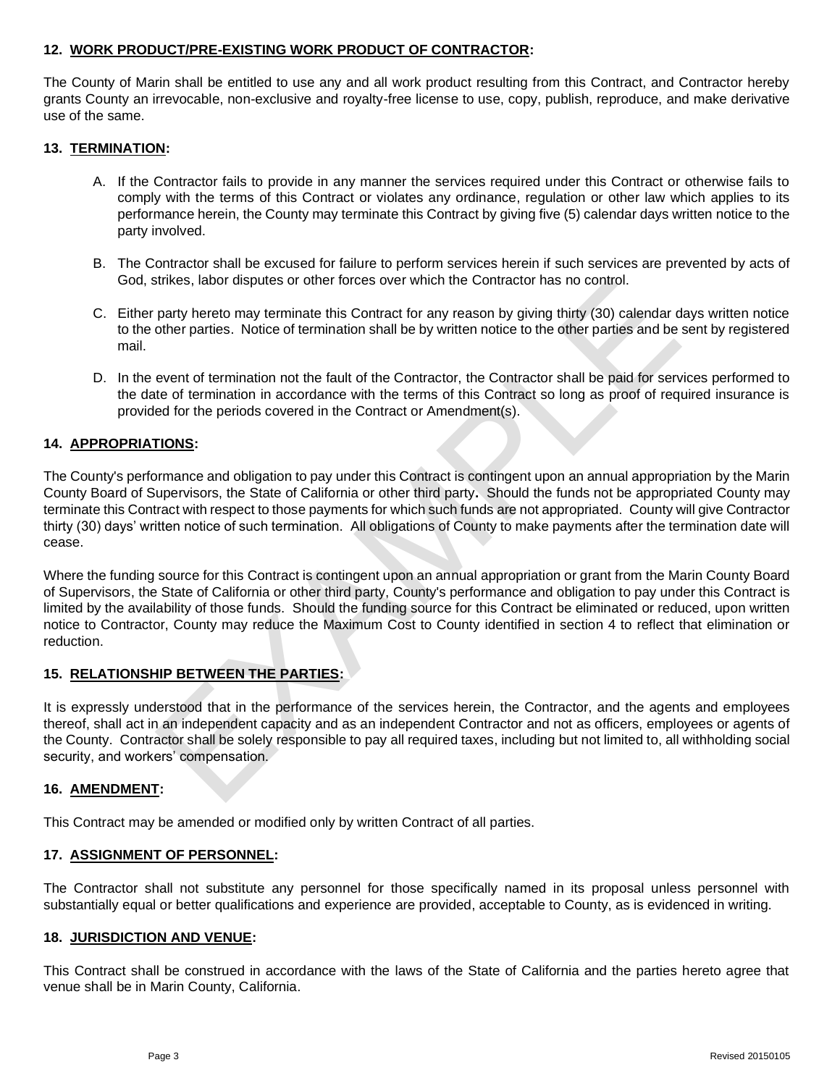# **12. WORK PRODUCT/PRE-EXISTING WORK PRODUCT OF CONTRACTOR:**

The County of Marin shall be entitled to use any and all work product resulting from this Contract, and Contractor hereby grants County an irrevocable, non-exclusive and royalty-free license to use, copy, publish, reproduce, and make derivative use of the same.

# **13. TERMINATION:**

- A. If the Contractor fails to provide in any manner the services required under this Contract or otherwise fails to comply with the terms of this Contract or violates any ordinance, regulation or other law which applies to its performance herein, the County may terminate this Contract by giving five (5) calendar days written notice to the party involved.
- B. The Contractor shall be excused for failure to perform services herein if such services are prevented by acts of God, strikes, labor disputes or other forces over which the Contractor has no control.
- C. Either party hereto may terminate this Contract for any reason by giving thirty (30) calendar days written notice to the other parties. Notice of termination shall be by written notice to the other parties and be sent by registered mail.
- D. In the event of termination not the fault of the Contractor, the Contractor shall be paid for services performed to the date of termination in accordance with the terms of this Contract so long as proof of required insurance is provided for the periods covered in the Contract or Amendment(s).

# **14. APPROPRIATIONS:**

The County's performance and obligation to pay under this Contract is contingent upon an annual appropriation by the Marin County Board of Supervisors, the State of California or other third party**.** Should the funds not be appropriated County may terminate this Contract with respect to those payments for which such funds are not appropriated. County will give Contractor thirty (30) days' written notice of such termination. All obligations of County to make payments after the termination date will cease.

strikes, labor disputes or other forces over which the Contractor has no control.<br>
party hereto may terminate this Contract for any reason by giving thirty (30) calendar d<br>
other parties. Notice of termination shall be by Where the funding source for this Contract is contingent upon an annual appropriation or grant from the Marin County Board of Supervisors, the State of California or other third party, County's performance and obligation to pay under this Contract is limited by the availability of those funds. Should the funding source for this Contract be eliminated or reduced, upon written notice to Contractor, County may reduce the Maximum Cost to County identified in section 4 to reflect that elimination or reduction.

# **15. RELATIONSHIP BETWEEN THE PARTIES:**

It is expressly understood that in the performance of the services herein, the Contractor, and the agents and employees thereof, shall act in an independent capacity and as an independent Contractor and not as officers, employees or agents of the County. Contractor shall be solely responsible to pay all required taxes, including but not limited to, all withholding social security, and workers' compensation.

# **16. AMENDMENT:**

This Contract may be amended or modified only by written Contract of all parties.

# **17. ASSIGNMENT OF PERSONNEL:**

The Contractor shall not substitute any personnel for those specifically named in its proposal unless personnel with substantially equal or better qualifications and experience are provided, acceptable to County, as is evidenced in writing.

#### **18. JURISDICTION AND VENUE:**

This Contract shall be construed in accordance with the laws of the State of California and the parties hereto agree that venue shall be in Marin County, California.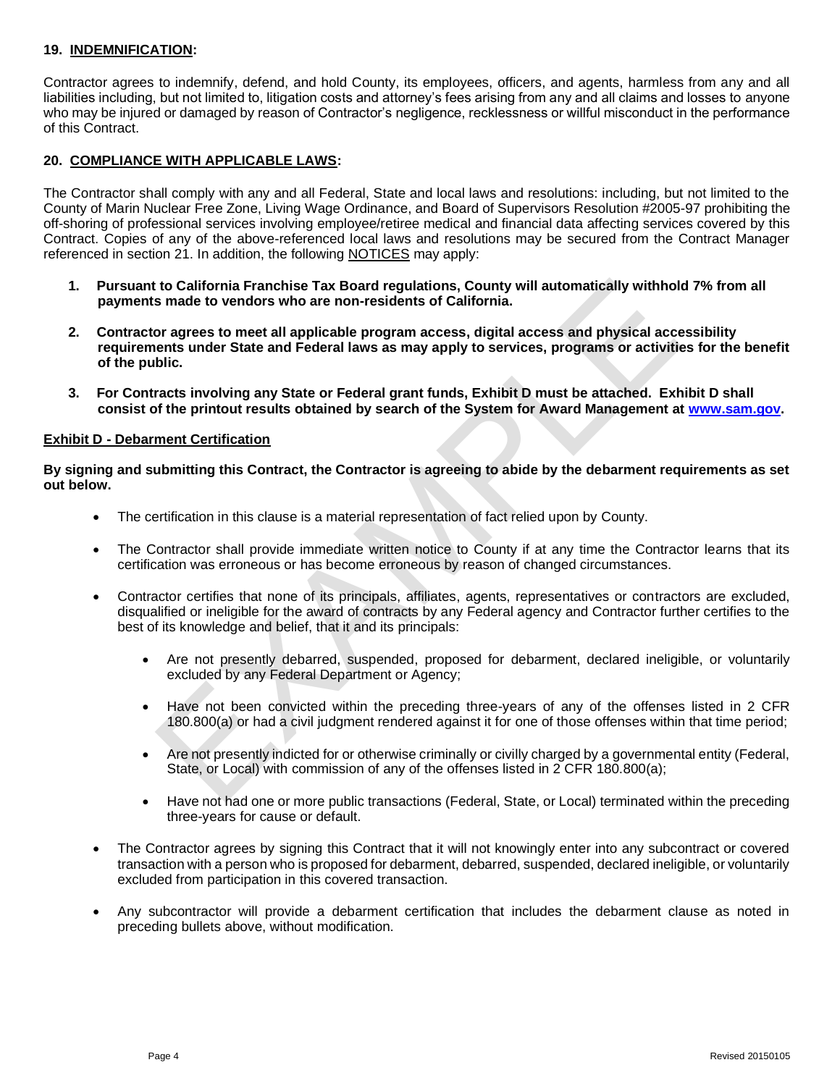# **19. INDEMNIFICATION:**

Contractor agrees to indemnify, defend, and hold County, its employees, officers, and agents, harmless from any and all liabilities including, but not limited to, litigation costs and attorney's fees arising from any and all claims and losses to anyone who may be injured or damaged by reason of Contractor's negligence, recklessness or willful misconduct in the performance of this Contract.

# **20. COMPLIANCE WITH APPLICABLE LAWS:**

The Contractor shall comply with any and all Federal, State and local laws and resolutions: including, but not limited to the County of Marin Nuclear Free Zone, Living Wage Ordinance, and Board of Supervisors Resolution #2005-97 prohibiting the off-shoring of professional services involving employee/retiree medical and financial data affecting services covered by this Contract. Copies of any of the above-referenced local laws and resolutions may be secured from the Contract Manager referenced in section 21. In addition, the following NOTICES may apply:

- **1. Pursuant to California Franchise Tax Board regulations, County will automatically withhold 7% from all payments made to vendors who are non-residents of California.**
- to California Franchise Tax Board regulations, County will automatically withholometa made to vendors who are non-residents of California.<br>
The ages to meet all applicable program access, digital access and physical access **2. Contractor agrees to meet all applicable program access, digital access and physical accessibility requirements under State and Federal laws as may apply to services, programs or activities for the benefit of the public.**
- **3. For Contracts involving any State or Federal grant funds, Exhibit D must be attached. Exhibit D shall consist of the printout results obtained by search of the System for Award Management at [www.sam.gov.](http://www.sam.gov/)**

#### **Exhibit D - Debarment Certification**

**By signing and submitting this Contract, the Contractor is agreeing to abide by the debarment requirements as set out below.**

- The certification in this clause is a material representation of fact relied upon by County.
- The Contractor shall provide immediate written notice to County if at any time the Contractor learns that its certification was erroneous or has become erroneous by reason of changed circumstances.
- Contractor certifies that none of its principals, affiliates, agents, representatives or contractors are excluded, disqualified or ineligible for the award of contracts by any Federal agency and Contractor further certifies to the best of its knowledge and belief, that it and its principals:
	- Are not presently debarred, suspended, proposed for debarment, declared ineligible, or voluntarily excluded by any Federal Department or Agency;
	- Have not been convicted within the preceding three-years of any of the offenses listed in 2 CFR 180.800(a) or had a civil judgment rendered against it for one of those offenses within that time period;
	- Are not presently indicted for or otherwise criminally or civilly charged by a governmental entity (Federal, State, or Local) with commission of any of the offenses listed in 2 CFR 180.800(a);
	- Have not had one or more public transactions (Federal, State, or Local) terminated within the preceding three-years for cause or default.
- The Contractor agrees by signing this Contract that it will not knowingly enter into any subcontract or covered transaction with a person who is proposed for debarment, debarred, suspended, declared ineligible, or voluntarily excluded from participation in this covered transaction.
- Any subcontractor will provide a debarment certification that includes the debarment clause as noted in preceding bullets above, without modification.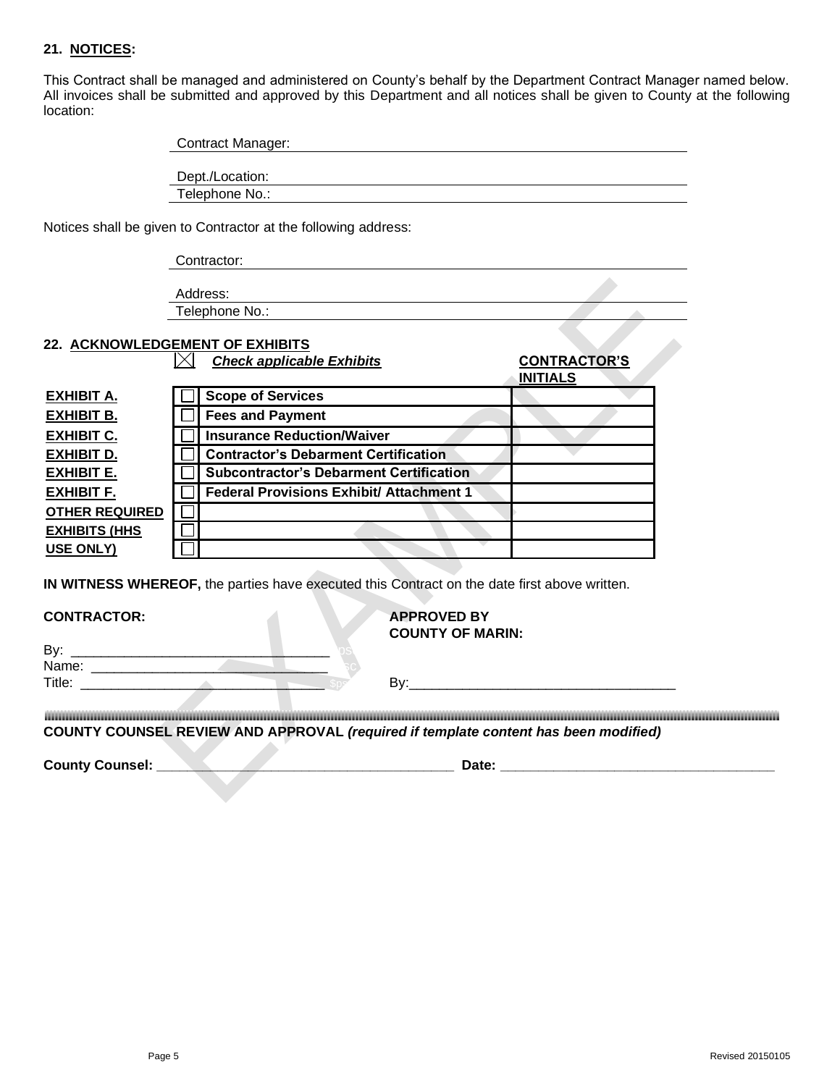# **21. NOTICES:**

This Contract shall be managed and administered on County's behalf by the Department Contract Manager named below. All invoices shall be submitted and approved by this Department and all notices shall be given to County at the following location:

| <b>Contract Manager:</b> |  |  |
|--------------------------|--|--|
| Dept./Location:          |  |  |
| Telephone No.:           |  |  |

Notices shall be given to Contractor at the following address:

Contractor:

Address: Telephone No.:

# **22. ACKNOWLEDGEMENT OF EXHIBITS**

|                        | Address:                                                                                                                                      |                                                                                                                                                                                                                                |
|------------------------|-----------------------------------------------------------------------------------------------------------------------------------------------|--------------------------------------------------------------------------------------------------------------------------------------------------------------------------------------------------------------------------------|
|                        | Telephone No.:                                                                                                                                |                                                                                                                                                                                                                                |
|                        | 22. ACKNOWLEDGEMENT OF EXHIBITS<br><b>Check applicable Exhibits</b>                                                                           | <b>CONTRACTOR'S</b><br><b>INITIALS</b>                                                                                                                                                                                         |
| <u>EXHIBIT A.</u>      | <b>Scope of Services</b>                                                                                                                      |                                                                                                                                                                                                                                |
| <b>EXHIBIT B.</b>      | <b>Fees and Payment</b>                                                                                                                       |                                                                                                                                                                                                                                |
| <b>EXHIBIT C.</b>      | <b>Insurance Reduction/Waiver</b>                                                                                                             |                                                                                                                                                                                                                                |
| <b>EXHIBIT D.</b>      | <b>Contractor's Debarment Certification</b>                                                                                                   |                                                                                                                                                                                                                                |
| <b>EXHIBIT E.</b>      | <b>Subcontractor's Debarment Certification</b>                                                                                                |                                                                                                                                                                                                                                |
| <b>EXHIBIT F.</b>      | <b>Federal Provisions Exhibit/ Attachment 1</b>                                                                                               |                                                                                                                                                                                                                                |
| <b>OTHER REQUIRED</b>  |                                                                                                                                               |                                                                                                                                                                                                                                |
| <b>EXHIBITS (HHS</b>   |                                                                                                                                               |                                                                                                                                                                                                                                |
| USE ONLY)              |                                                                                                                                               |                                                                                                                                                                                                                                |
| <b>CONTRACTOR:</b>     | IN WITNESS WHEREOF, the parties have executed this Contract on the date first above written.<br><b>APPROVED BY</b><br><b>COUNTY OF MARIN:</b> |                                                                                                                                                                                                                                |
|                        |                                                                                                                                               |                                                                                                                                                                                                                                |
|                        | Name: 2008                                                                                                                                    |                                                                                                                                                                                                                                |
|                        |                                                                                                                                               | By: the contract of the contract of the contract of the contract of the contract of the contract of the contract of the contract of the contract of the contract of the contract of the contract of the contract of the contra |
|                        | COUNTY COUNSEL REVIEW AND APPROVAL (required if template content has been modified)                                                           |                                                                                                                                                                                                                                |
| <b>County Counsel:</b> | the contract of the contract of the contract of the contract of the contract of                                                               | Date: the contract of the contract of the contract of the contract of the contract of the contract of the contract of the contract of the contract of the contract of the contract of the contract of the contract of the cont |
|                        |                                                                                                                                               |                                                                                                                                                                                                                                |

| B۷.    |  | . . |
|--------|--|-----|
| Name:  |  |     |
| Title: |  | г   |

**COUNTY COUNSEL REVIEW AND APPROVAL** *(required if template content has been modified)*

**County Counsel: \_\_\_\_\_\_\_\_\_\_\_\_\_\_\_\_\_\_\_\_\_\_\_\_\_\_\_\_\_\_\_\_\_\_\_\_\_\_\_ Date: \_\_\_\_\_\_\_\_\_\_\_\_\_\_\_\_\_\_\_\_\_\_\_\_\_\_\_\_\_\_\_\_\_\_\_\_**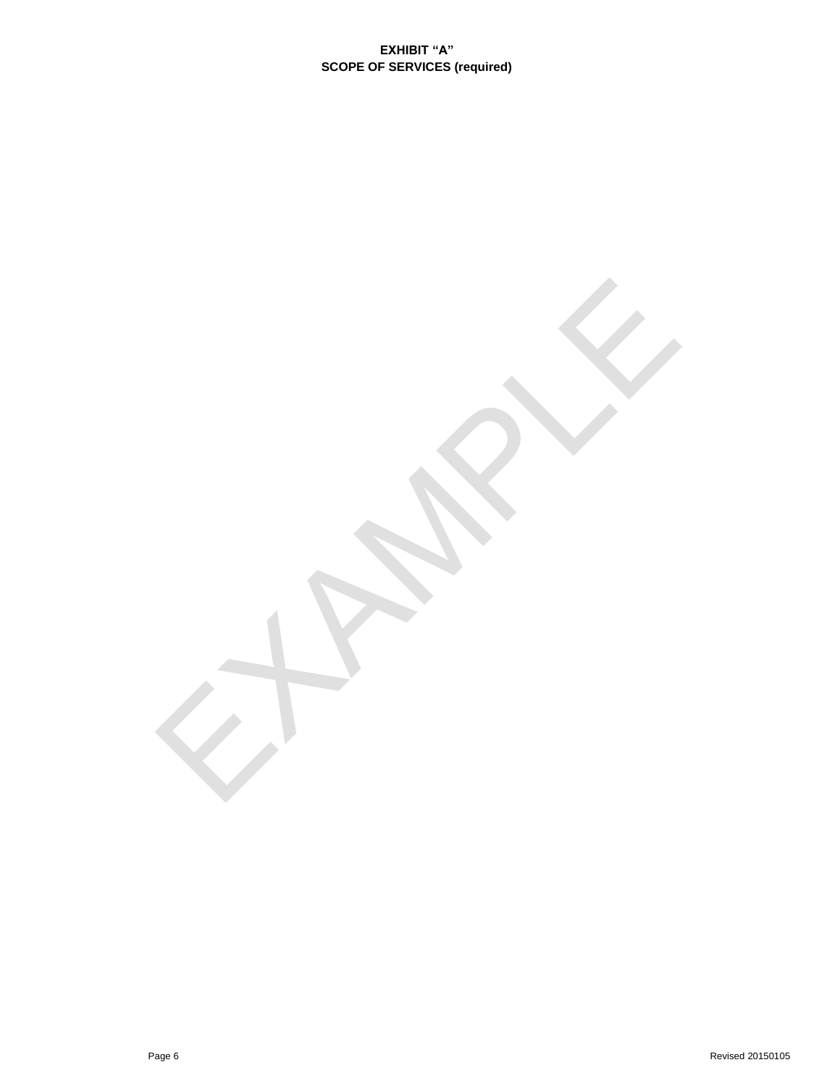EXAMPLE 19

**EXHIBIT "A" SCOPE OF SERVICES (required)**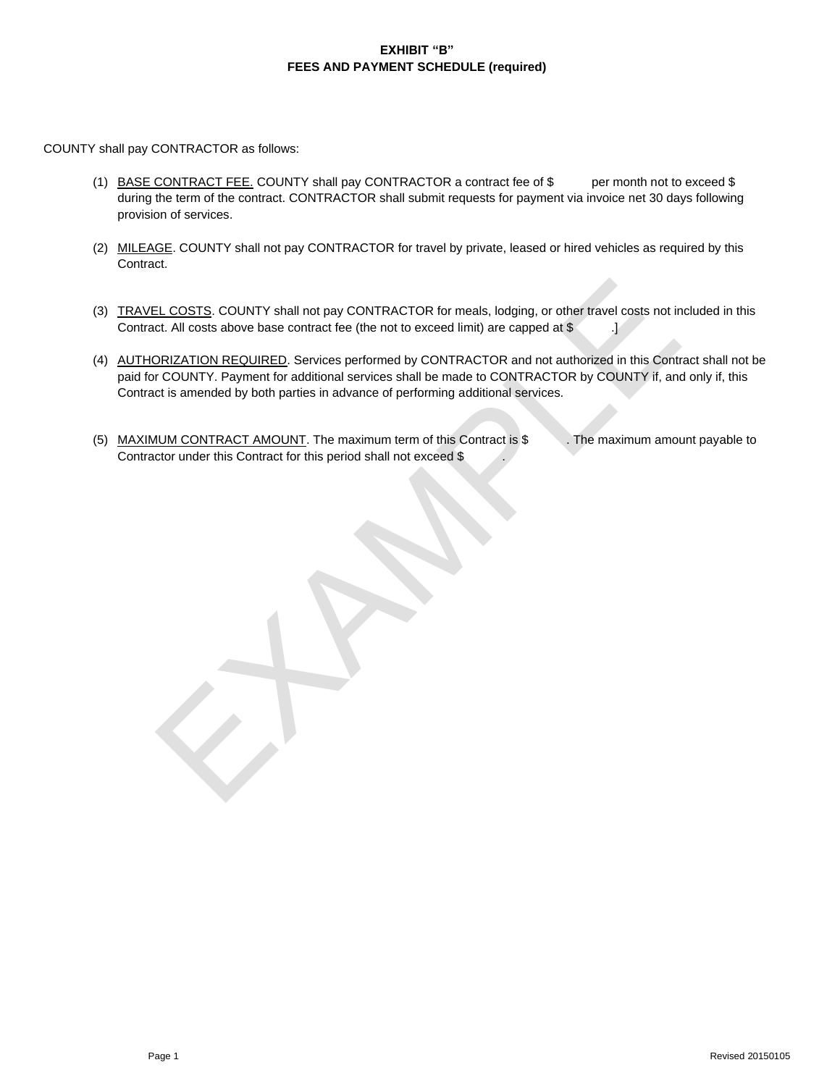# **EXHIBIT "B" FEES AND PAYMENT SCHEDULE (required)**

COUNTY shall pay CONTRACTOR as follows:

- (1) BASE CONTRACT FEE. COUNTY shall pay CONTRACTOR a contract fee of \$ per month not to exceed \$ during the term of the contract. CONTRACTOR shall submit requests for payment via invoice net 30 days following provision of services.
- (2) MILEAGE. COUNTY shall not pay CONTRACTOR for travel by private, leased or hired vehicles as required by this Contract.
- (3) TRAVEL COSTS. COUNTY shall not pay CONTRACTOR for meals, lodging, or other travel costs not included in this Contract. All costs above base contract fee (the not to exceed limit) are capped at \$ .]
- EL COSTS. COUNTY shall not pay CONTRACTOR for meals, lodging, or other travel costs not in<br>et. All costs above base contract fee (the not to exceed limit) are capped at \$<br>DRIZATION REQUIRED. Services performed by CONTRACTO (4) AUTHORIZATION REQUIRED. Services performed by CONTRACTOR and not authorized in this Contract shall not be paid for COUNTY. Payment for additional services shall be made to CONTRACTOR by COUNTY if, and only if, this Contract is amended by both parties in advance of performing additional services.
- (5) MAXIMUM CONTRACT AMOUNT. The maximum term of this Contract is \$ . The maximum amount payable to Contractor under this Contract for this period shall not exceed \$